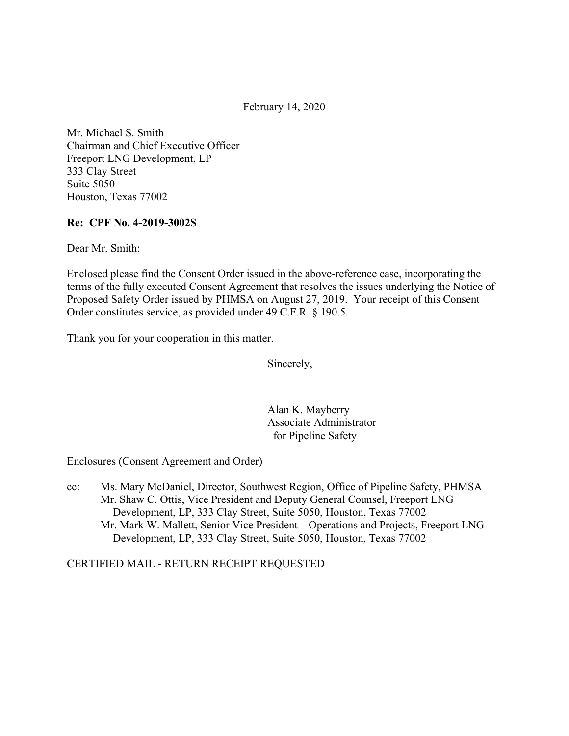February 14, 2020

Mr. Michael S. Smith Chairman and Chief Executive Officer Freeport LNG Development, LP 333 Clay Street Suite 5050 Houston, Texas 77002

#### **Re: CPF No. 4-2019-3002S**

Dear Mr. Smith:

Enclosed please find the Consent Order issued in the above-reference case, incorporating the terms of the fully executed Consent Agreement that resolves the issues underlying the Notice of Proposed Safety Order issued by PHMSA on August 27, 2019. Your receipt of this Consent Order constitutes service, as provided under 49 C.F.R. § 190.5.

Thank you for your cooperation in this matter.

Sincerely,

Alan K. Mayberry Associate Administrator for Pipeline Safety

Enclosures (Consent Agreement and Order)

cc: Ms. Mary McDaniel, Director, Southwest Region, Office of Pipeline Safety, PHMSA Mr. Shaw C. Ottis, Vice President and Deputy General Counsel, Freeport LNG Development, LP, 333 Clay Street, Suite 5050, Houston, Texas 77002 Mr. Mark W. Mallett, Senior Vice President – Operations and Projects, Freeport LNG Development, LP, 333 Clay Street, Suite 5050, Houston, Texas 77002

#### CERTIFIED MAIL - RETURN RECEIPT REQUESTED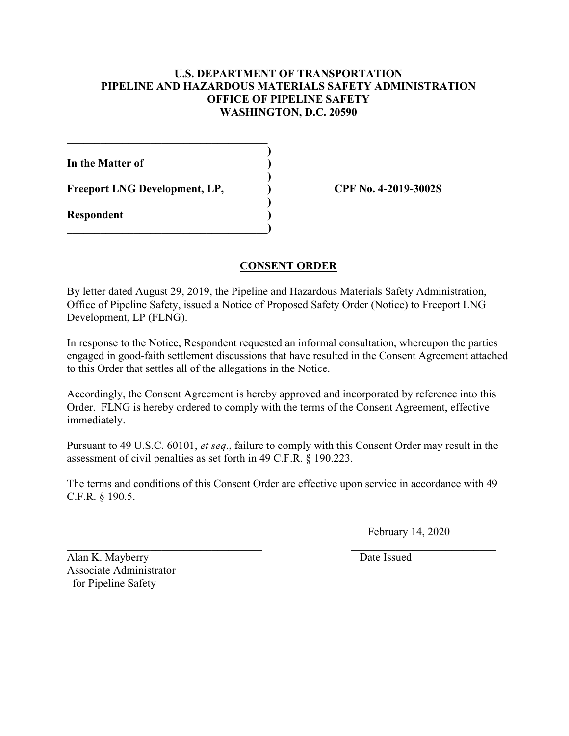#### **U.S. DEPARTMENT OF TRANSPORTATION PIPELINE AND HAZARDOUS MATERIALS SAFETY ADMINISTRATION OFFICE OF PIPELINE SAFETY WASHINGTON, D.C. 20590**

**)** 

**)** 

**)** 

**In the Matter of )** 

Freeport LNG Development, LP, CPF No. 4-2019-3002S

**\_\_\_\_\_\_\_\_\_\_\_\_\_\_\_\_\_\_\_\_\_\_\_\_\_\_\_\_\_\_\_\_\_\_\_\_** 

 $\overline{\phantom{a}}$ 

**Respondent )** 

### **CONSENT ORDER**

By letter dated August 29, 2019, the Pipeline and Hazardous Materials Safety Administration, Office of Pipeline Safety, issued a Notice of Proposed Safety Order (Notice) to Freeport LNG Development, LP (FLNG).

In response to the Notice, Respondent requested an informal consultation, whereupon the parties engaged in good-faith settlement discussions that have resulted in the Consent Agreement attached to this Order that settles all of the allegations in the Notice.

Accordingly, the Consent Agreement is hereby approved and incorporated by reference into this Order. FLNG is hereby ordered to comply with the terms of the Consent Agreement, effective immediately.

Pursuant to 49 U.S.C. 60101, *et seq*., failure to comply with this Consent Order may result in the assessment of civil penalties as set forth in 49 C.F.R. § 190.223.

The terms and conditions of this Consent Order are effective upon service in accordance with 49 C.F.R. § 190.5.

February 14, 2020

Alan K. Mayberry Date Issued Associate Administrator for Pipeline Safety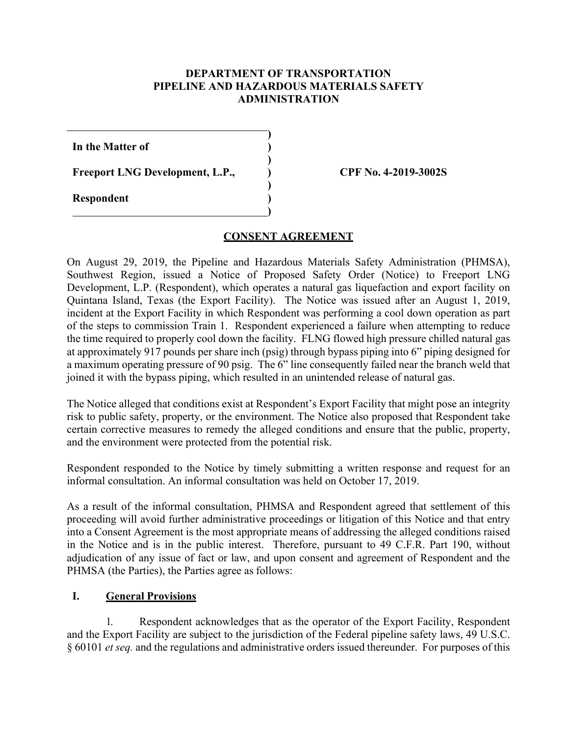#### **DEPARTMENT OF TRANSPORTATION PIPELINE AND HAZARDOUS MATERIALS SAFETY ADMINISTRATION**

**)** 

**)** 

**)** 

**)** 

**In the Matter of )** 

Freeport LNG Development, L.P.,  $\qquad \qquad$  CPF No. 4-2019-3002S

**Respondent )** 

 $\overline{a}$ 

#### **CONSENT AGREEMENT**

On August 29, 2019, the Pipeline and Hazardous Materials Safety Administration (PHMSA), Southwest Region, issued a Notice of Proposed Safety Order (Notice) to Freeport LNG Development, L.P. (Respondent), which operates a natural gas liquefaction and export facility on Quintana Island, Texas (the Export Facility). The Notice was issued after an August 1, 2019, incident at the Export Facility in which Respondent was performing a cool down operation as part of the steps to commission Train 1. Respondent experienced a failure when attempting to reduce the time required to properly cool down the facility. FLNG flowed high pressure chilled natural gas at approximately 917 pounds per share inch (psig) through bypass piping into 6" piping designed for a maximum operating pressure of 90 psig. The 6" line consequently failed near the branch weld that joined it with the bypass piping, which resulted in an unintended release of natural gas.

The Notice alleged that conditions exist at Respondent's Export Facility that might pose an integrity risk to public safety, property, or the environment. The Notice also proposed that Respondent take certain corrective measures to remedy the alleged conditions and ensure that the public, property, and the environment were protected from the potential risk.

Respondent responded to the Notice by timely submitting a written response and request for an informal consultation. An informal consultation was held on October 17, 2019.

As a result of the informal consultation, PHMSA and Respondent agreed that settlement of this proceeding will avoid further administrative proceedings or litigation of this Notice and that entry into a Consent Agreement is the most appropriate means of addressing the alleged conditions raised in the Notice and is in the public interest. Therefore, pursuant to 49 C.F.R. Part 190, without adjudication of any issue of fact or law, and upon consent and agreement of Respondent and the PHMSA (the Parties), the Parties agree as follows:

### **I. General Provisions**

1. Respondent acknowledges that as the operator of the Export Facility, Respondent and the Export Facility are subject to the jurisdiction of the Federal pipeline safety laws, 49 U.S.C. § 60101 *et seq.* and the regulations and administrative orders issued thereunder. For purposes of this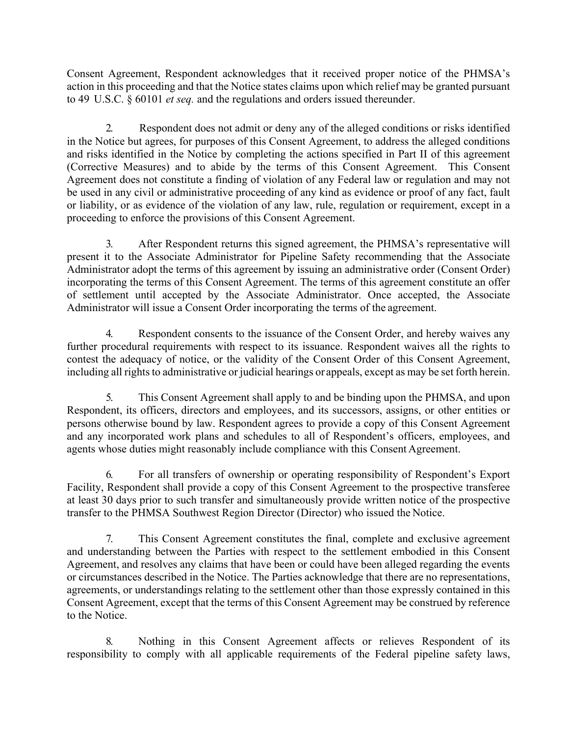Consent Agreement, Respondent acknowledges that it received proper notice of the PHMSA's action in this proceeding and that the Notice states claims upon which relief may be granted pursuant to 49 U.S.C. § 60101 *et seq.* and the regulations and orders issued thereunder.

2. Respondent does not admit or deny any of the alleged conditions or risks identified in the Notice but agrees, for purposes of this Consent Agreement, to address the alleged conditions and risks identified in the Notice by completing the actions specified in Part II of this agreement (Corrective Measures) and to abide by the terms of this Consent Agreement. This Consent Agreement does not constitute a finding of violation of any Federal law or regulation and may not be used in any civil or administrative proceeding of any kind as evidence or proof of any fact, fault or liability, or as evidence of the violation of any law, rule, regulation or requirement, except in a proceeding to enforce the provisions of this Consent Agreement.

3. After Respondent returns this signed agreement, the PHMSA's representative will present it to the Associate Administrator for Pipeline Safety recommending that the Associate Administrator adopt the terms of this agreement by issuing an administrative order (Consent Order) incorporating the terms of this Consent Agreement. The terms of this agreement constitute an offer of settlement until accepted by the Associate Administrator. Once accepted, the Associate Administrator will issue a Consent Order incorporating the terms of the agreement.

4. Respondent consents to the issuance of the Consent Order, and hereby waives any further procedural requirements with respect to its issuance. Respondent waives all the rights to contest the adequacy of notice, or the validity of the Consent Order of this Consent Agreement, including all rights to administrative or judicial hearings or appeals, except as may be set forth herein.

5. This Consent Agreement shall apply to and be binding upon the PHMSA, and upon Respondent, its officers, directors and employees, and its successors, assigns, or other entities or persons otherwise bound by law. Respondent agrees to provide a copy of this Consent Agreement and any incorporated work plans and schedules to all of Respondent's officers, employees, and agents whose duties might reasonably include compliance with this Consent Agreement.

6. For all transfers of ownership or operating responsibility of Respondent's Export Facility, Respondent shall provide a copy of this Consent Agreement to the prospective transferee at least 30 days prior to such transfer and simultaneously provide written notice of the prospective transfer to the PHMSA Southwest Region Director (Director) who issued the Notice.

7. This Consent Agreement constitutes the final, complete and exclusive agreement and understanding between the Parties with respect to the settlement embodied in this Consent Agreement, and resolves any claims that have been or could have been alleged regarding the events or circumstances described in the Notice. The Parties acknowledge that there are no representations, agreements, or understandings relating to the settlement other than those expressly contained in this Consent Agreement, except that the terms of this Consent Agreement may be construed by reference to the Notice.

8. Nothing in this Consent Agreement affects or relieves Respondent of its responsibility to comply with all applicable requirements of the Federal pipeline safety laws,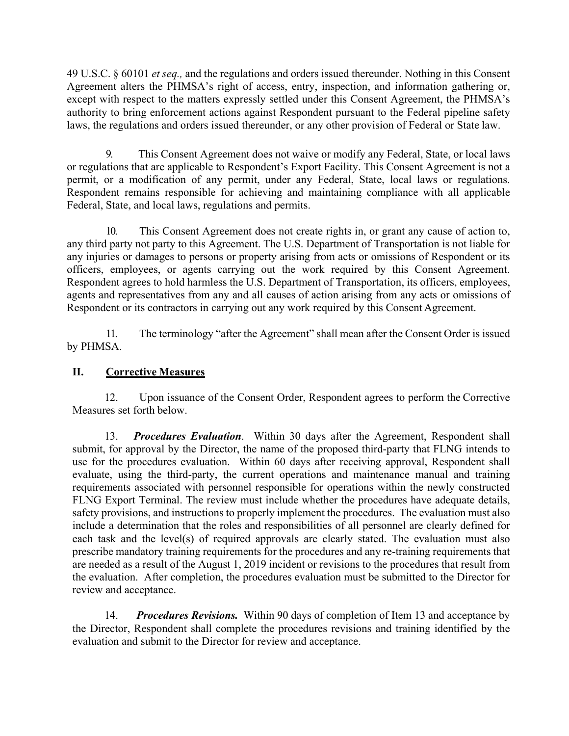49 U.S.C. § 60101 *et seq.,* and the regulations and orders issued thereunder. Nothing in this Consent Agreement alters the PHMSA's right of access, entry, inspection, and information gathering or, except with respect to the matters expressly settled under this Consent Agreement, the PHMSA's authority to bring enforcement actions against Respondent pursuant to the Federal pipeline safety laws, the regulations and orders issued thereunder, or any other provision of Federal or State law.

permit, or a modification of any permit, under any Federal, State, local laws or regulations. 9. This Consent Agreement does not waive or modify any Federal, State, or local laws or regulations that are applicable to Respondent's Export Facility. This Consent Agreement is not a Respondent remains responsible for achieving and maintaining compliance with all applicable Federal, State, and local laws, regulations and permits.

10. This Consent Agreement does not create rights in, or grant any cause of action to, any third party not party to this Agreement. The U.S. Department of Transportation is not liable for any injuries or damages to persons or property arising from acts or omissions of Respondent or its officers, employees, or agents carrying out the work required by this Consent Agreement. Respondent agrees to hold harmless the U.S. Department of Transportation, its officers, employees, agents and representatives from any and all causes of action arising from any acts or omissions of Respondent or its contractors in carrying out any work required by this Consent Agreement.

11. The terminology "after the Agreement" shall mean after the Consent Order is issued by PHMSA.

### **II. Corrective Measures**

12. Upon issuance of the Consent Order, Respondent agrees to perform the Corrective Measures set forth below.

13. *Procedures Evaluation*. Within 30 days after the Agreement, Respondent shall submit, for approval by the Director, the name of the proposed third-party that FLNG intends to use for the procedures evaluation. Within 60 days after receiving approval, Respondent shall evaluate, using the third-party, the current operations and maintenance manual and training requirements associated with personnel responsible for operations within the newly constructed FLNG Export Terminal. The review must include whether the procedures have adequate details, safety provisions, and instructions to properly implement the procedures. The evaluation must also include a determination that the roles and responsibilities of all personnel are clearly defined for each task and the level(s) of required approvals are clearly stated. The evaluation must also prescribe mandatory training requirements for the procedures and any re-training requirements that are needed as a result of the August 1, 2019 incident or revisions to the procedures that result from the evaluation. After completion, the procedures evaluation must be submitted to the Director for review and acceptance.

14. *Procedures Revisions.* Within 90 days of completion of Item 13 and acceptance by the Director, Respondent shall complete the procedures revisions and training identified by the evaluation and submit to the Director for review and acceptance.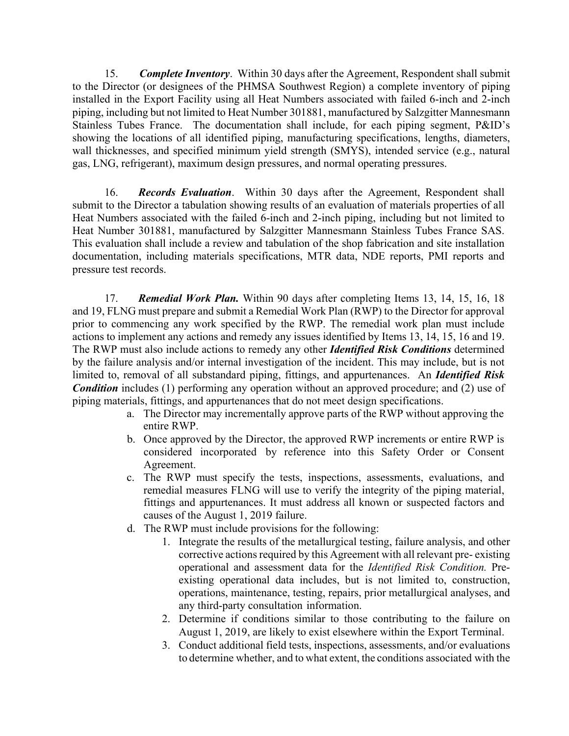15. *Complete Inventory*. Within 30 days after the Agreement, Respondent shall submit to the Director (or designees of the PHMSA Southwest Region) a complete inventory of piping installed in the Export Facility using all Heat Numbers associated with failed 6-inch and 2-inch piping, including but not limited to Heat Number 301881, manufactured by Salzgitter Mannesmann Stainless Tubes France. The documentation shall include, for each piping segment, P&ID's showing the locations of all identified piping, manufacturing specifications, lengths, diameters, wall thicknesses, and specified minimum yield strength (SMYS), intended service (e.g., natural gas, LNG, refrigerant), maximum design pressures, and normal operating pressures.

16. *Records Evaluation*. Within 30 days after the Agreement, Respondent shall submit to the Director a tabulation showing results of an evaluation of materials properties of all Heat Numbers associated with the failed 6-inch and 2-inch piping, including but not limited to Heat Number 301881, manufactured by Salzgitter Mannesmann Stainless Tubes France SAS. This evaluation shall include a review and tabulation of the shop fabrication and site installation documentation, including materials specifications, MTR data, NDE reports, PMI reports and pressure test records.

17. *Remedial Work Plan.* Within 90 days after completing Items 13, 14, 15, 16, 18 and 19, FLNG must prepare and submit a Remedial Work Plan (RWP) to the Director for approval prior to commencing any work specified by the RWP. The remedial work plan must include actions to implement any actions and remedy any issues identified by Items 13, 14, 15, 16 and 19. The RWP must also include actions to remedy any other *Identified Risk Conditions* determined by the failure analysis and/or internal investigation of the incident. This may include, but is not limited to, removal of all substandard piping, fittings, and appurtenances. An *Identified Risk Condition* includes (1) performing any operation without an approved procedure; and (2) use of piping materials, fittings, and appurtenances that do not meet design specifications.

- a. The Director may incrementally approve parts of the RWP without approving the entire RWP.
- b. Once approved by the Director, the approved RWP increments or entire RWP is considered incorporated by reference into this Safety Order or Consent Agreement.
- c. The RWP must specify the tests, inspections, assessments, evaluations, and remedial measures FLNG will use to verify the integrity of the piping material, fittings and appurtenances. It must address all known or suspected factors and causes of the August 1, 2019 failure.
- d. The RWP must include provisions for the following:
	- 1. Integrate the results of the metallurgical testing, failure analysis, and other corrective actions required by this Agreement with all relevant pre- existing operational and assessment data for the *Identified Risk Condition.* Preexisting operational data includes, but is not limited to, construction, operations, maintenance, testing, repairs, prior metallurgical analyses, and any third-party consultation information.
	- 2. Determine if conditions similar to those contributing to the failure on August 1, 2019, are likely to exist elsewhere within the Export Terminal.
	- 3. Conduct additional field tests, inspections, assessments, and/or evaluations to determine whether, and to what extent, the conditions associated with the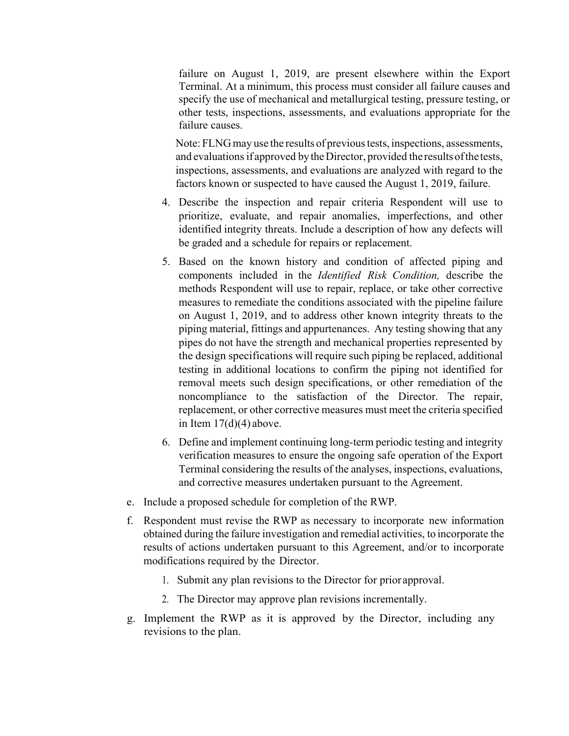failure on August 1, 2019, are present elsewhere within the Export Terminal. At a minimum, this process must consider all failure causes and specify the use of mechanical and metallurgical testing, pressure testing, or other tests, inspections, assessments, and evaluations appropriate for the failure causes.

 and evaluations if approved by the Director, provided the results ofthe tests, Note: FLNG may use the results of previous tests, inspections, assessments, inspections, assessments, and evaluations are analyzed with regard to the factors known or suspected to have caused the August 1, 2019, failure.

- 4. Describe the inspection and repair criteria Respondent will use to prioritize, evaluate, and repair anomalies, imperfections, and other identified integrity threats. Include a description of how any defects will be graded and a schedule for repairs or replacement.
- 5. Based on the known history and condition of affected piping and components included in the *Identified Risk Condition,* describe the methods Respondent will use to repair, replace, or take other corrective measures to remediate the conditions associated with the pipeline failure on August 1, 2019, and to address other known integrity threats to the piping material, fittings and appurtenances. Any testing showing that any pipes do not have the strength and mechanical properties represented by the design specifications will require such piping be replaced, additional testing in additional locations to confirm the piping not identified for removal meets such design specifications, or other remediation of the noncompliance to the satisfaction of the Director. The repair, replacement, or other corrective measures must meet the criteria specified in Item  $17(d)(4)$  above.
- 6. Define and implement continuing long-term periodic testing and integrity verification measures to ensure the ongoing safe operation of the Export Terminal considering the results of the analyses, inspections, evaluations, and corrective measures undertaken pursuant to the Agreement.
- e. Include a proposed schedule for completion of the RWP.
- f. Respondent must revise the RWP as necessary to incorporate new information obtained during the failure investigation and remedial activities, to incorporate the results of actions undertaken pursuant to this Agreement, and/or to incorporate modifications required by the Director.
	- 1. Submit any plan revisions to the Director for prior approval.
	- 2. The Director may approve plan revisions incrementally.
- g. Implement the RWP as it is approved by the Director, including any revisions to the plan.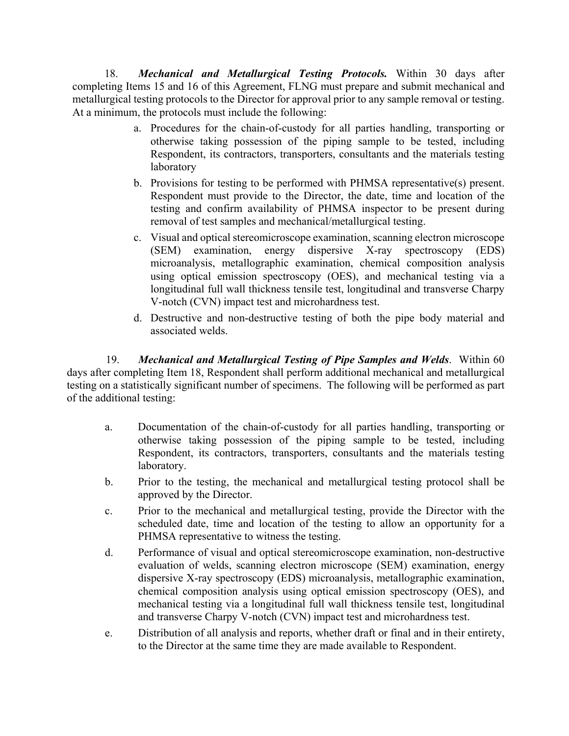18. *Mechanical and Metallurgical Testing Protocols.* Within 30 days after completing Items 15 and 16 of this Agreement, FLNG must prepare and submit mechanical and metallurgical testing protocols to the Director for approval prior to any sample removal or testing. At a minimum, the protocols must include the following:

- a. Procedures for the chain-of-custody for all parties handling, transporting or otherwise taking possession of the piping sample to be tested, including Respondent, its contractors, transporters, consultants and the materials testing laboratory
- b. Provisions for testing to be performed with PHMSA representative(s) present. Respondent must provide to the Director, the date, time and location of the testing and confirm availability of PHMSA inspector to be present during removal of test samples and mechanical/metallurgical testing.
- c. Visual and optical stereomicroscope examination, scanning electron microscope (SEM) examination, energy dispersive X-ray spectroscopy (EDS) microanalysis, metallographic examination, chemical composition analysis using optical emission spectroscopy (OES), and mechanical testing via a longitudinal full wall thickness tensile test, longitudinal and transverse Charpy V-notch (CVN) impact test and microhardness test.
- d. Destructive and non-destructive testing of both the pipe body material and associated welds.

19. *Mechanical and Metallurgical Testing of Pipe Samples and Welds*. Within 60 days after completing Item 18, Respondent shall perform additional mechanical and metallurgical testing on a statistically significant number of specimens. The following will be performed as part of the additional testing:

- a. Documentation of the chain-of-custody for all parties handling, transporting or otherwise taking possession of the piping sample to be tested, including Respondent, its contractors, transporters, consultants and the materials testing laboratory.
- b. Prior to the testing, the mechanical and metallurgical testing protocol shall be approved by the Director.
- c. Prior to the mechanical and metallurgical testing, provide the Director with the scheduled date, time and location of the testing to allow an opportunity for a PHMSA representative to witness the testing.
- d. Performance of visual and optical stereomicroscope examination, non-destructive evaluation of welds, scanning electron microscope (SEM) examination, energy dispersive X-ray spectroscopy (EDS) microanalysis, metallographic examination, chemical composition analysis using optical emission spectroscopy (OES), and mechanical testing via a longitudinal full wall thickness tensile test, longitudinal and transverse Charpy V-notch (CVN) impact test and microhardness test.
- e. Distribution of all analysis and reports, whether draft or final and in their entirety, to the Director at the same time they are made available to Respondent.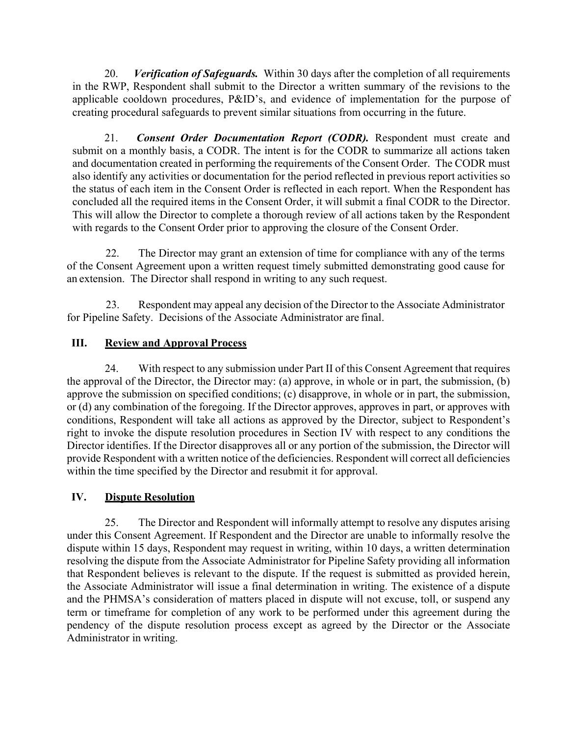20. *Verification of Safeguards.* Within 30 days after the completion of all requirements in the RWP, Respondent shall submit to the Director a written summary of the revisions to the applicable cooldown procedures, P&ID's, and evidence of implementation for the purpose of creating procedural safeguards to prevent similar situations from occurring in the future.

21. *Consent Order Documentation Report (CODR).* Respondent must create and submit on a monthly basis, a CODR. The intent is for the CODR to summarize all actions taken and documentation created in performing the requirements of the Consent Order. The CODR must also identify any activities or documentation for the period reflected in previous report activities so the status of each item in the Consent Order is reflected in each report. When the Respondent has concluded all the required items in the Consent Order, it will submit a final CODR to the Director. This will allow the Director to complete a thorough review of all actions taken by the Respondent with regards to the Consent Order prior to approving the closure of the Consent Order.

22. The Director may grant an extension of time for compliance with any of the terms of the Consent Agreement upon a written request timely submitted demonstrating good cause for an extension. The Director shall respond in writing to any such request.

23. Respondent may appeal any decision of the Director to the Associate Administrator for Pipeline Safety. Decisions of the Associate Administrator are final.

### **III. Review and Approval Process**

24. With respect to any submission under Part II of this Consent Agreement that requires the approval of the Director, the Director may: (a) approve, in whole or in part, the submission, (b) approve the submission on specified conditions; (c) disapprove, in whole or in part, the submission, or (d) any combination of the foregoing. If the Director approves, approves in part, or approves with conditions, Respondent will take all actions as approved by the Director, subject to Respondent's right to invoke the dispute resolution procedures in Section IV with respect to any conditions the Director identifies. If the Director disapproves all or any portion of the submission, the Director will provide Respondent with a written notice of the deficiencies. Respondent will correct all deficiencies within the time specified by the Director and resubmit it for approval.

### **IV. Dispute Resolution**

25. The Director and Respondent will informally attempt to resolve any disputes arising under this Consent Agreement. If Respondent and the Director are unable to informally resolve the dispute within 15 days, Respondent may request in writing, within 10 days, a written determination resolving the dispute from the Associate Administrator for Pipeline Safety providing all information that Respondent believes is relevant to the dispute. If the request is submitted as provided herein, the Associate Administrator will issue a final determination in writing. The existence of a dispute and the PHMSA's consideration of matters placed in dispute will not excuse, toll, or suspend any term or timeframe for completion of any work to be performed under this agreement during the pendency of the dispute resolution process except as agreed by the Director or the Associate Administrator in writing.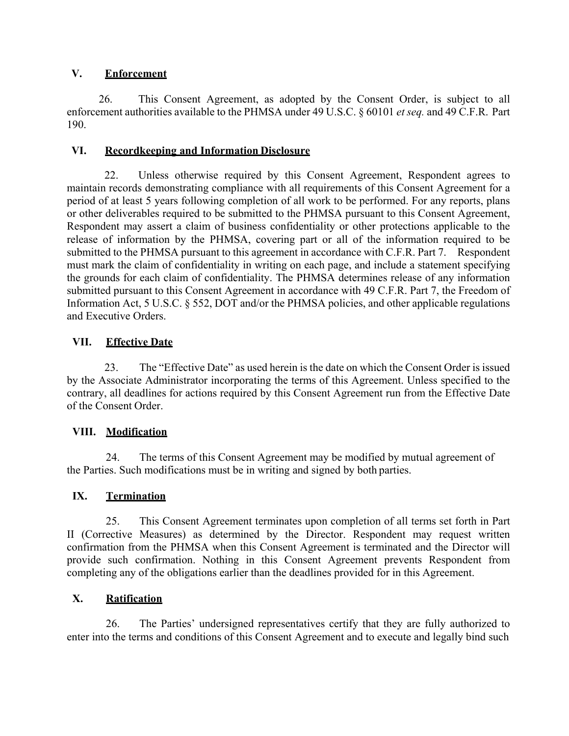### **V. Enforcement**

26. This Consent Agreement, as adopted by the Consent Order, is subject to all enforcement authorities available to the PHMSA under 49 U.S.C. § 60101 *et seq.* and 49 C.F.R. Part 190.

## **VI. Recordkeeping and Information Disclosure**

submitted to the PHMSA pursuant to this agreement in accordance with C.F.R. Part 7. Respondent 22. Unless otherwise required by this Consent Agreement, Respondent agrees to maintain records demonstrating compliance with all requirements of this Consent Agreement for a period of at least 5 years following completion of all work to be performed. For any reports, plans or other deliverables required to be submitted to the PHMSA pursuant to this Consent Agreement, Respondent may assert a claim of business confidentiality or other protections applicable to the release of information by the PHMSA, covering part or all of the information required to be must mark the claim of confidentiality in writing on each page, and include a statement specifying the grounds for each claim of confidentiality. The PHMSA determines release of any information submitted pursuant to this Consent Agreement in accordance with 49 C.F.R. Part 7, the Freedom of Information Act, 5 U.S.C. § 552, DOT and/or the PHMSA policies, and other applicable regulations and Executive Orders.

# **VII. Effective Date**

23. The "Effective Date" as used herein is the date on which the Consent Order is issued by the Associate Administrator incorporating the terms of this Agreement. Unless specified to the contrary, all deadlines for actions required by this Consent Agreement run from the Effective Date of the Consent Order.

# **VIII. Modification**

24. The terms of this Consent Agreement may be modified by mutual agreement of the Parties. Such modifications must be in writing and signed by both parties.

# **IX. Termination**

25. This Consent Agreement terminates upon completion of all terms set forth in Part II (Corrective Measures) as determined by the Director. Respondent may request written confirmation from the PHMSA when this Consent Agreement is terminated and the Director will provide such confirmation. Nothing in this Consent Agreement prevents Respondent from completing any of the obligations earlier than the deadlines provided for in this Agreement.

# **X. Ratification**

26. The Parties' undersigned representatives certify that they are fully authorized to enter into the terms and conditions of this Consent Agreement and to execute and legally bind such